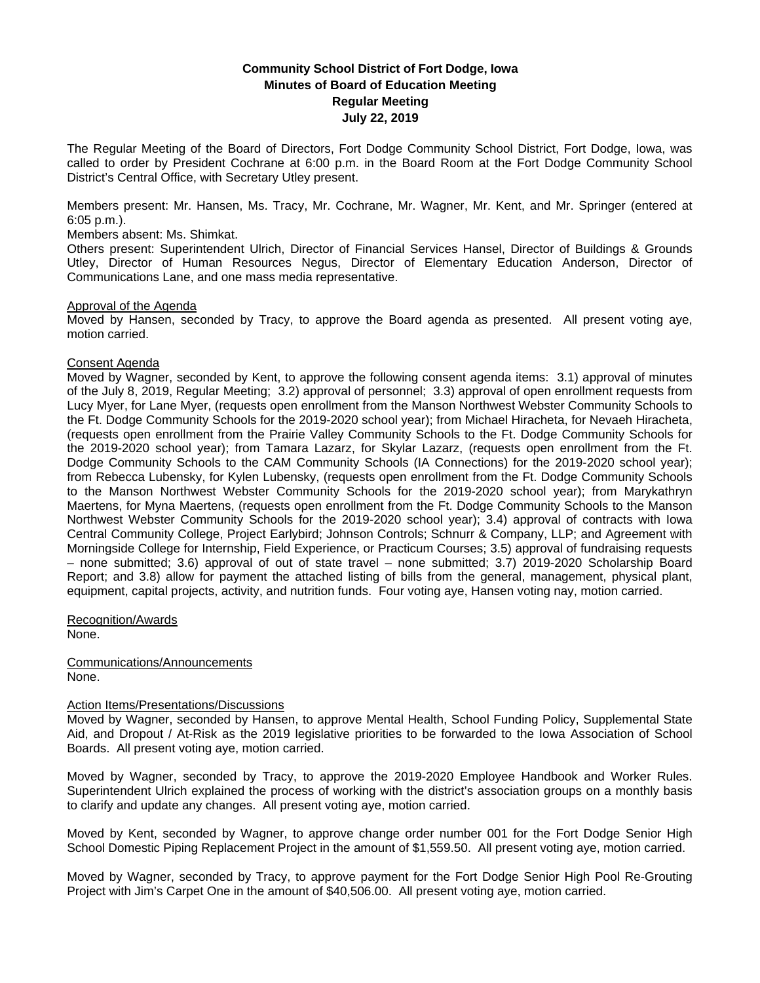# **Community School District of Fort Dodge, Iowa Minutes of Board of Education Meeting Regular Meeting July 22, 2019**

The Regular Meeting of the Board of Directors, Fort Dodge Community School District, Fort Dodge, Iowa, was called to order by President Cochrane at 6:00 p.m. in the Board Room at the Fort Dodge Community School District's Central Office, with Secretary Utley present.

Members present: Mr. Hansen, Ms. Tracy, Mr. Cochrane, Mr. Wagner, Mr. Kent, and Mr. Springer (entered at 6:05 p.m.).

## Members absent: Ms. Shimkat.

Others present: Superintendent Ulrich, Director of Financial Services Hansel, Director of Buildings & Grounds Utley, Director of Human Resources Negus, Director of Elementary Education Anderson, Director of Communications Lane, and one mass media representative.

### Approval of the Agenda

Moved by Hansen, seconded by Tracy, to approve the Board agenda as presented. All present voting aye, motion carried.

### Consent Agenda

Moved by Wagner, seconded by Kent, to approve the following consent agenda items: 3.1) approval of minutes of the July 8, 2019, Regular Meeting; 3.2) approval of personnel; 3.3) approval of open enrollment requests from Lucy Myer, for Lane Myer, (requests open enrollment from the Manson Northwest Webster Community Schools to the Ft. Dodge Community Schools for the 2019-2020 school year); from Michael Hiracheta, for Nevaeh Hiracheta, (requests open enrollment from the Prairie Valley Community Schools to the Ft. Dodge Community Schools for the 2019-2020 school year); from Tamara Lazarz, for Skylar Lazarz, (requests open enrollment from the Ft. Dodge Community Schools to the CAM Community Schools (IA Connections) for the 2019-2020 school year); from Rebecca Lubensky, for Kylen Lubensky, (requests open enrollment from the Ft. Dodge Community Schools to the Manson Northwest Webster Community Schools for the 2019-2020 school year); from Marykathryn Maertens, for Myna Maertens, (requests open enrollment from the Ft. Dodge Community Schools to the Manson Northwest Webster Community Schools for the 2019-2020 school year); 3.4) approval of contracts with Iowa Central Community College, Project Earlybird; Johnson Controls; Schnurr & Company, LLP; and Agreement with Morningside College for Internship, Field Experience, or Practicum Courses; 3.5) approval of fundraising requests – none submitted; 3.6) approval of out of state travel – none submitted; 3.7) 2019-2020 Scholarship Board Report; and 3.8) allow for payment the attached listing of bills from the general, management, physical plant, equipment, capital projects, activity, and nutrition funds. Four voting aye, Hansen voting nay, motion carried.

Recognition/Awards

None.

Communications/Announcements None.

#### Action Items/Presentations/Discussions

Moved by Wagner, seconded by Hansen, to approve Mental Health, School Funding Policy, Supplemental State Aid, and Dropout / At-Risk as the 2019 legislative priorities to be forwarded to the Iowa Association of School Boards. All present voting aye, motion carried.

Moved by Wagner, seconded by Tracy, to approve the 2019-2020 Employee Handbook and Worker Rules. Superintendent Ulrich explained the process of working with the district's association groups on a monthly basis to clarify and update any changes. All present voting aye, motion carried.

Moved by Kent, seconded by Wagner, to approve change order number 001 for the Fort Dodge Senior High School Domestic Piping Replacement Project in the amount of \$1,559.50. All present voting aye, motion carried.

Moved by Wagner, seconded by Tracy, to approve payment for the Fort Dodge Senior High Pool Re-Grouting Project with Jim's Carpet One in the amount of \$40,506.00. All present voting aye, motion carried.